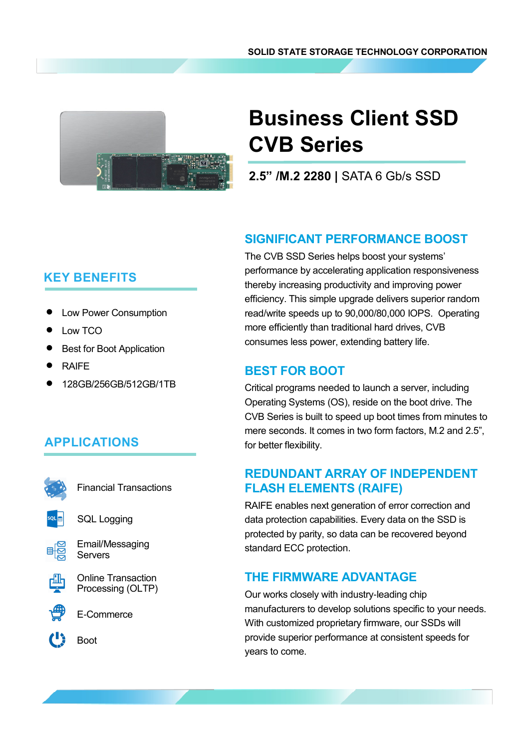

# **CVB Series Business Client SSD**

**2.5" /M.2 2280 |** SATA 6 Gb/s SSD

# **KEY BENEFITS**

- **Low Power Consumption**
- Low TCO
- **Best for Boot Application**
- RAIFE
- 128GB/256GB/512GB/1TB

## **APPLICATIONS**



Financial Transactions





Email/Messaging Servers



Online Transaction Processing (OLTP)

E-Commerce

Boot

# **SIGNIFICANT PERFORMANCE BOOST**

The CVB SSD Series helps boost your systems' performance by accelerating application responsiveness thereby increasing productivity and improving power efficiency. This simple upgrade delivers superior random read/write speeds up to 90,000/80,000 IOPS. Operating more efficiently than traditional hard drives, CVB consumes less power, extending battery life.

### **BEST FOR BOOT**

Critical programs needed to launch a server, including Operating Systems (OS), reside on the boot drive. The CVB Series is built to speed up boot times from minutes to mere seconds. It comes in two form factors, M.2 and 2.5", for better flexibility.

### **REDUNDANT ARRAY OF INDEPENDENT FLASH ELEMENTS (RAIFE)**

RAIFE enables next generation of error correction and data protection capabilities. Every data on the SSD is protected by parity, so data can be recovered beyond standard ECC protection.

#### **THE FIRMWARE ADVANTAGE**

Our works closely with industry-leading chip manufacturers to develop solutions specific to your needs. With customized proprietary firmware, our SSDs will provide superior performance at consistent speeds for years to come.